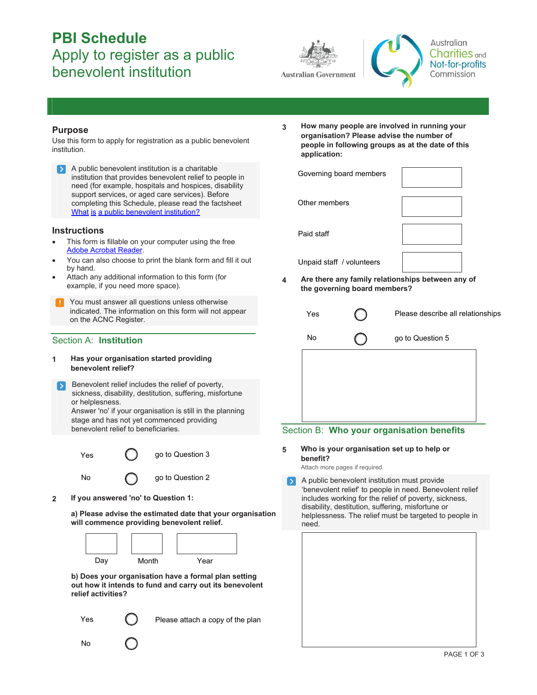# **PBI Schedule**  Apply to register as a public benevolent institution





## **Purpose**

Use this form to apply for registration as a public benevolent institution.

A public benevolent institution is a charitable institution that provides benevolent relief to people in need (for example, hospitals and hospices, disability support services, or aged care services). Before completing this Schedule, please read the factsheet What is [a public benevolent institution?](http://www.acnc.gov.au/ACNC/FTS/Fact_PBI.aspx)

## **Instructions**

- This form is fillable on your computer using the free [Adobe Acrobat Reader.](http://www.adobe.com/au/products/reader.html)
- You can also choose to print the blank form and fill it out by hand.
- Attach any additional information to this form (for example, if you need more space).
- You must answer all questions unless otherwise indicated. The information on this form will not appear on the ACNC Register.

## Section A: **Institution**

- **1 Has your organisation started providing benevolent relief?**
- Benevolent relief includes the relief of poverty, sickness, disability, destitution, suffering, misfortune or helplesness. Answer 'no' if your organisation is still in the planning

stage and has not yet commenced providing benevolent relief to beneficiaries.



**2 If you answered 'no' to Question 1:**

**a) Please advise the estimated date that your organisation will commence providing benevolent relief.**



**b) Does your organisation have a formal plan setting out how it intends to fund and carry out its benevolent relief activities?**

Yes

No

Please attach a copy of the plan

**3 How many people are involved in running your organisation? Please advise the number of people in following groups as at the date of this application:**

| Governing board members                           |  |  |  |  |
|---------------------------------------------------|--|--|--|--|
| Other members                                     |  |  |  |  |
| Paid staff                                        |  |  |  |  |
| Unpaid staff / volunteers                         |  |  |  |  |
| Are there any family relationshins hetween any of |  |  |  |  |

**4 Are there any family relationship the governing board members?**

| Yes | Please describe all relationships |
|-----|-----------------------------------|
| No  | go to Question 5                  |
|     |                                   |

## Section B: **Who your organisation benefits**

**5 Who is your organisation set up to help or benefit?** 

Attach more pages if required.

A public benevolent institution must provide  $\mathbf{S}$ 'benevolent relief' to people in need. Benevolent relief includes working for the relief of poverty, sickness, disability, destitution, suffering, misfortune or helplessness. The relief must be targeted to people in need.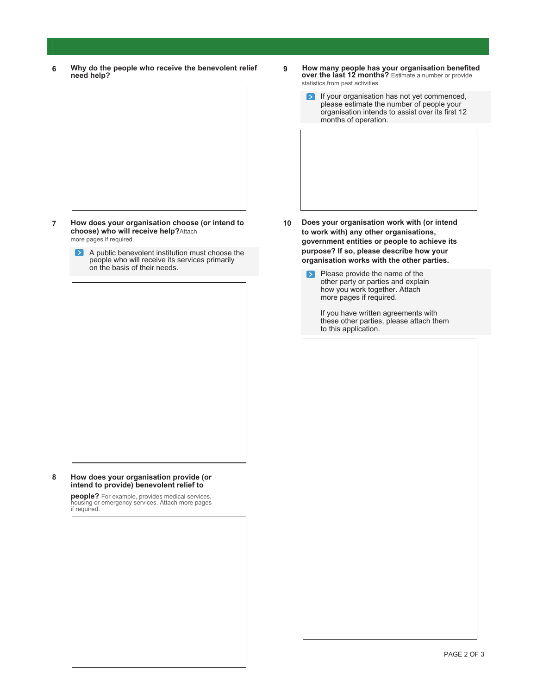**6 Why do the people who receive the benevolent relief need help?**



- **7 How does your organisation choose (or intend to choose) who will receive help?**Attach more pages if required.
	- A public benevolent institution must choose the people who will receive its services primarily on the basis of their needs.

**8 How does your organisation provide (or intend to provide) benevolent relief to** 

> **people?** For example, provides medical services, housing or emergency services. Attach more pages if required.

- **9 How many people has your organisation benefited over the last 12 months?** Estimate a number or provide statistics from past activities.
	- If your organisation has not yet commenced,  $\triangleright$ please estimate the number of people your organisation intends to assist over its first 12 months of operation.

- **10 Does your organisation work with (or intend to work with) any other organisations, government entities or people to achieve its purpose? If so, please describe how your organisation works with the other parties.**
	- Please provide the name of the  $\blacktriangleright$ other party or parties and explain how you work together. Attach more pages if required.

If you have written agreements with these other parties, please attach them to this application.